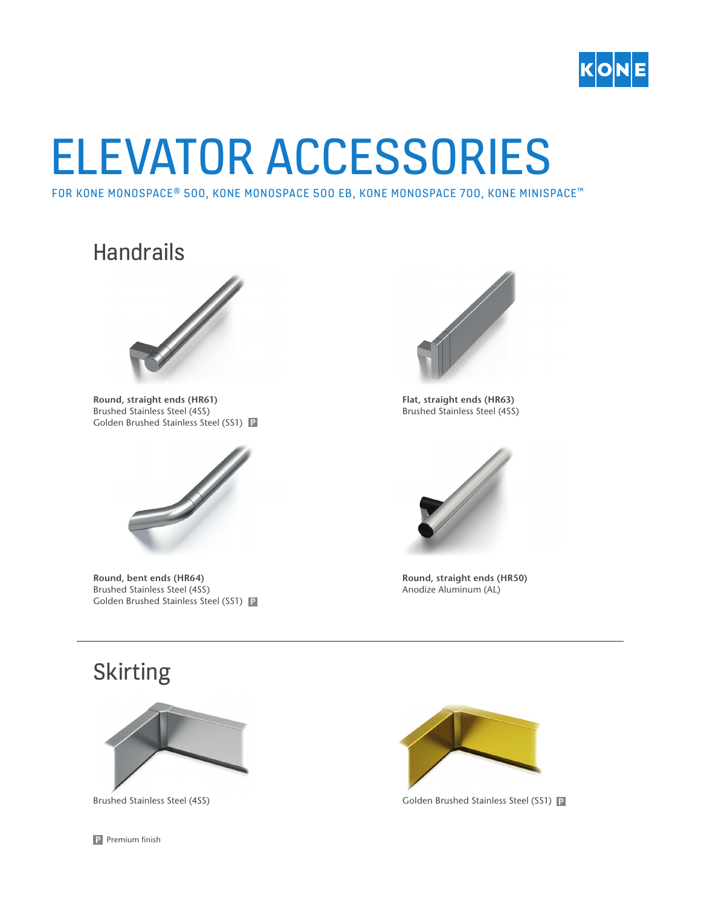

## ELEVATOR ACCESSORIES

FOR KONE MONOSPACE® 500, KONE MONOSPACE 500 EB, KONE MONOSPACE 700, KONE MINISPACE<sup>™</sup>

## **Handrails**



**Round, straight ends (HR61)** Brushed Stainless Steel (4SS) Golden Brushed Stainless Steel (SS1) **P**



**Round, bent ends (HR64)**  Brushed Stainless Steel (4SS) Golden Brushed Stainless Steel (SS1) **P**



**Flat, straight ends (HR63)** Brushed Stainless Steel (4SS)



**Round, straight ends (HR50)** Anodize Aluminum (AL)

## Skirting



Brushed Stainless Steel (4SS)



Golden Brushed Stainless Steel (SS1) **P**

**P** Premium finish